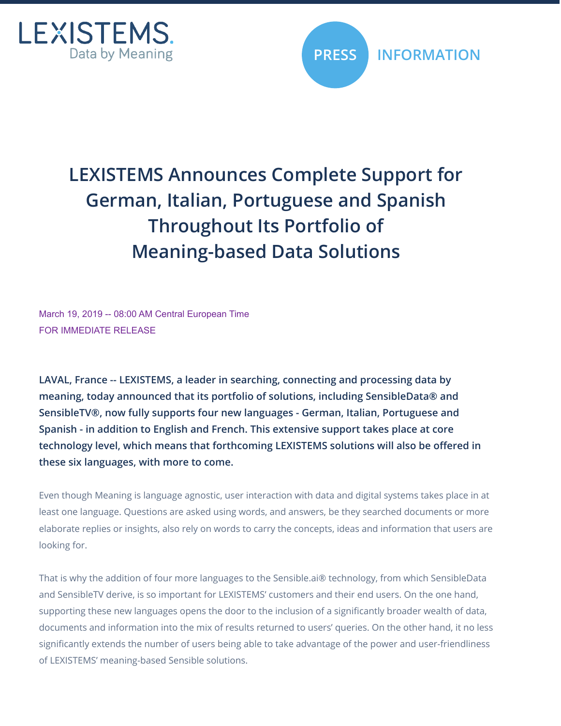



## **LEXISTEMS Announces Complete Support for German, Italian, Portuguese and Spanish Throughout Its Portfolio of Meaning-based Data Solutions**

March 19, 2019 -- 08:00 AM Central European Time FOR IMMEDIATE RELEASE

**LAVAL, France -- LEXISTEMS, a leader in searching, connecting and processing data by meaning, today announced that its portfolio of solutions, including SensibleData® and SensibleTV®, now fully supports four new languages - German, Italian, Portuguese and Spanish - in addition to English and French. This extensive support takes place at core technology level, which means that forthcoming LEXISTEMS solutions will also be offered in these six languages, with more to come.**

Even though Meaning is language agnostic, user interaction with data and digital systems takes place in at least one language. Questions are asked using words, and answers, be they searched documents or more elaborate replies or insights, also rely on words to carry the concepts, ideas and information that users are looking for.

That is why the addition of four more languages to the Sensible.ai® technology, from which SensibleData and SensibleTV derive, is so important for LEXISTEMS' customers and their end users. On the one hand, supporting these new languages opens the door to the inclusion of a significantly broader wealth of data, documents and information into the mix of results returned to users' queries. On the other hand, it no less significantly extends the number of users being able to take advantage of the power and user-friendliness of LEXISTEMS' meaning-based Sensible solutions.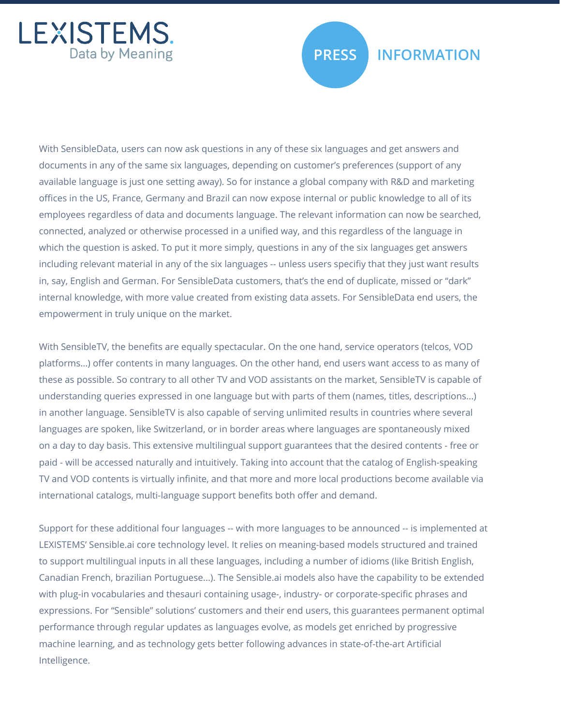



## **PRESS INFORMATION**

With SensibleData, users can now ask questions in any of these six languages and get answers and documents in any of the same six languages, depending on customer's preferences (support of any available language is just one setting away). So for instance a global company with R&D and marketing offices in the US, France, Germany and Brazil can now expose internal or public knowledge to all of its employees regardless of data and documents language. The relevant information can now be searched, connected, analyzed or otherwise processed in a unified way, and this regardless of the language in which the question is asked. To put it more simply, questions in any of the six languages get answers including relevant material in any of the six languages -- unless users specifiy that they just want results in, say, English and German. For SensibleData customers, that's the end of duplicate, missed or "dark" internal knowledge, with more value created from existing data assets. For SensibleData end users, the empowerment in truly unique on the market.

With SensibleTV, the benefits are equally spectacular. On the one hand, service operators (telcos, VOD platforms...) offer contents in many languages. On the other hand, end users want access to as many of these as possible. So contrary to all other TV and VOD assistants on the market, SensibleTV is capable of understanding queries expressed in one language but with parts of them (names, titles, descriptions...) in another language. SensibleTV is also capable of serving unlimited results in countries where several languages are spoken, like Switzerland, or in border areas where languages are spontaneously mixed on a day to day basis. This extensive multilingual support guarantees that the desired contents - free or paid - will be accessed naturally and intuitively. Taking into account that the catalog of English-speaking TV and VOD contents is virtually infinite, and that more and more local productions become available via international catalogs, multi-language support benefits both offer and demand.

Support for these additional four languages -- with more languages to be announced -- is implemented at LEXISTEMS' Sensible.ai core technology level. It relies on meaning-based models structured and trained to support multilingual inputs in all these languages, including a number of idioms (like British English, Canadian French, brazilian Portuguese...). The Sensible.ai models also have the capability to be extended with plug-in vocabularies and thesauri containing usage-, industry- or corporate-specific phrases and expressions. For "Sensible" solutions' customers and their end users, this guarantees permanent optimal performance through regular updates as languages evolve, as models get enriched by progressive machine learning, and as technology gets better following advances in state-of-the-art Artificial Intelligence.